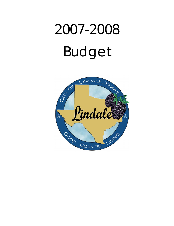# 2007-2008 Budget

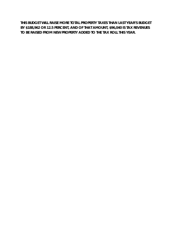**THIS BUDGET WILL RAISE MORE TOTAL PROPERTY TAXES THAN LAST YEAR'S BUDGET BY \$188,962 OR 12.5 PERCENT, AND OF THAT AMOUNT, \$96,040 IS TAX REVENUES TO BE RAISED FROM NEW PROPERTY ADDED TO THE TAX ROLL THIS YEAR.**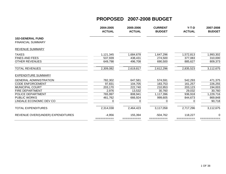|                                   | 2004-2005<br><b>ACTUAL</b> | 2005-2006<br><b>ACTUAL</b> | <b>CURRENT</b><br><b>BUDGET</b> | $Y-T-D$<br><b>ACTUAL</b> | 2007-2008<br><b>BUDGET</b> |
|-----------------------------------|----------------------------|----------------------------|---------------------------------|--------------------------|----------------------------|
| <b>102-GENERAL FUND</b>           |                            |                            |                                 |                          |                            |
| <b>FINANCIAL SUMMARY</b>          |                            |                            |                                 |                          |                            |
| <b>REVENUE SUMMARY</b>            |                            |                            |                                 |                          |                            |
| <b>TAXES</b>                      | 1,121,345                  | 1,684,678                  | 1,647,296                       | 1,572,813                | 1,993,302                  |
| <b>FINES AND FEES</b>             | 537,939                    | 438,431                    | 274,500                         | 377,083                  | 310,000                    |
| <b>OTHER REVENUES</b>             | 649,798                    | 496,708                    | 690,500                         | 885,627                  | 809,373                    |
| <b>TOTAL REVENUES</b>             | 2,309,082                  | 2,619,817                  | 2,612,296                       | 2,835,523                | 3,112,675                  |
| <b>EXPENDITURE SUMMARY</b>        |                            |                            |                                 |                          |                            |
| <b>GENERAL ADMINISTRATION</b>     | 782,302                    | 647,581                    | 574,591                         | 542,293                  | 471,375                    |
| <b>CODE ENFORCEMENT</b>           | 97,831                     | 104,705                    | 183,753                         | 161,257                  | 226,255                    |
| <b>MUNICIPAL COURT</b>            | 203,170                    | 222,740                    | 210,953                         | 203,123                  | 194,003                    |
| <b>FIRE DEPARTMENT</b>            | 2,976                      | 13,532                     | 30,760                          | 29,032                   | 30,760                     |
| POLICE DEPARTMENT                 | 765,997                    | 808,941                    | 1,117,396                       | 936,918                  | 1,229,716                  |
| <b>PUBLIC WORKS</b>               | 461,762                    | 666,924                    | 999,605                         | 844,673                  | 869,848                    |
| LINDALE ECONOMIC DEV CO           |                            |                            | 0                               | 0                        | 90,718                     |
| <b>TOTAL EXPENDITURES</b>         | 2,314,038                  | 2,464,423                  | 3,117,058                       | 2,717,296                | 3,112,675                  |
| REVENUE OVER/(UNDER) EXPENDITURES | $-4,956$                   | 155,394                    | $-504,762$                      | 118,227                  | 0                          |
|                                   |                            |                            |                                 |                          |                            |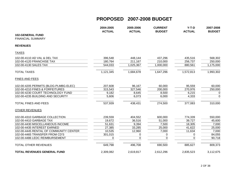|                                        | 2004-2005<br><b>ACTUAL</b> | 2005-2006<br><b>ACTUAL</b> | <b>CURRENT</b><br><b>BUDGET</b> | $Y-T-D$<br><b>ACTUAL</b> | 2007-2008<br><b>BUDGET</b> |
|----------------------------------------|----------------------------|----------------------------|---------------------------------|--------------------------|----------------------------|
| <b>102-GENERAL FUND</b>                |                            |                            |                                 |                          |                            |
| <b>FINANCIAL SUMMARY</b>               |                            |                            |                                 |                          |                            |
| <b>REVENUES</b>                        |                            |                            |                                 |                          |                            |
| <b>TAXES</b>                           |                            |                            |                                 |                          |                            |
| 102-00-4110 AD VAL & DEL TAX           | 396,548                    | 448,144                    | 437,296                         | 435,516                  | 568,302                    |
| 102-00-4120 FRANCHISE TAX              | 180,764                    | 211,167                    | 210,000                         | 256,737                  | 250,000                    |
| 102-00-4130 SALES TAX                  | 544,033                    | 1,025,367                  | 1,000,000                       | 880,561                  | 1,175,000                  |
| <b>TOTAL TAXES</b>                     | 1,121,345                  | 1,684,678                  | 1,647,296                       | 1,572,813                | 1,993,302                  |
| <b>FINES AND FEES</b>                  |                            |                            |                                 |                          |                            |
| 102-00-4205 PERMITS (BLDG-PLMBG-ELEC)  | 207,608                    | 96,167                     | 60,000                          | 95,559                   | 60,000                     |
| 102-00-4210 FINES & FORFEITURES        | 315,543                    | 327,546                    | 200,000                         | 270,976                  | 250,000                    |
| 102-00-4230 COURT TECHNOLOGY FUND      | 9,182                      | 8,645                      | 8,500                           | 6,215                    | 0                          |
| 102-00-4235 BUILDING AND SECURITY      | 5,606                      | 6,073                      | 6,000                           | 4,333                    | $\mathbf 0$                |
| <b>TOTAL FINES AND FEES</b>            | 537,939                    | 438,431                    | 274,500                         | 377,083                  | 310,000                    |
| <b>OTHER REVENUES</b>                  |                            |                            |                                 |                          |                            |
| 102-00-4310 GARBAGE COLLECTION         | 239,559                    | 404,552                    | 600,000                         | 774,339                  | 550,000                    |
| 102-00-4410 GARBAGE TAX                | 19,672                     | 36,516                     | 51,000                          | 39,727                   | 45,600                     |
| 102-00-4430 MISCELLANEOUS INCOME       | 51,631                     | 9,394                      | 7,500                           | 18,305                   | 7,000                      |
| 102-00-4435 INTEREST EARNED            | 27,385                     | 33,285                     | 25,000                          | 41,622                   | 25,000                     |
| 102-00-4445 RENTAL OF COMMUNITY CENTER | 10,535                     | 12,960                     | 7,000                           | 11,634                   | 7,000                      |
| 102-00-4465 TRANSFER FROM CD'S         | 301,015                    | 0                          | 0                               | 0                        | 84,055                     |
| 102-00-4486 LEDC REIMBURSEMENT         | $\Omega$                   | $\mathbf 0$                | $\mathbf 0$                     | $\mathbf 0$              | 90,718                     |
| <b>TOTAL OTHER REVENUES</b>            | 649,798                    | 496,708                    | 690,500                         | 885,627                  | 809,373                    |
| <b>TOTAL REVENUES GENERAL FUND</b>     | 2,309,082                  | 2,619,817                  | 2,612,296                       | 2,835,523                | 3,112,675                  |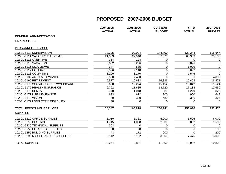|                                      | 2004-2005<br><b>ACTUAL</b> | 2005-2006<br><b>ACTUAL</b> | <b>CURRENT</b><br><b>BUDGET</b> | $Y-T-D$<br><b>ACTUAL</b> | 2007-2008<br><b>BUDGET</b> |
|--------------------------------------|----------------------------|----------------------------|---------------------------------|--------------------------|----------------------------|
| <b>GENERAL ADMINISTRATION</b>        |                            |                            |                                 |                          |                            |
| <b>EXPENDITURES</b>                  |                            |                            |                                 |                          |                            |
| PERSONNEL SERVICES                   |                            |                            |                                 |                          |                            |
| 102-01-5110 SUPERVISION              | 70,395                     | 92,024                     | 144,800                         | 120,248                  | 115,647                    |
| 102-01-5111 SALARIES FULL-TIME       | 21,383                     | 27,940                     | 57,573                          | 63,333                   | 30,183                     |
| 102-01-5113 OVERTIME                 | 334                        | 294                        | 0                               | $\Omega$                 | 0                          |
| 102-01-5115 VACATION                 | 2,692                      | 2,296                      | $\mathbf 0$                     | 9,826                    | $\pmb{0}$                  |
| 102-01-5116 SICK LEAVE               | 347                        | 835                        | 0                               | 1,029                    | $\mathbf 0$                |
| 102-01-5117 HOLIDAY                  | 3,596                      | 2,148                      | 0                               | 5,097                    | $\overline{0}$             |
| 102-01-5118 COMP TIME                | 1,290                      | 1,270                      | $\mathbf 0$                     | 7,546                    | $\overline{0}$             |
| 102-01-5130 AUTO ALLOWANCE           | 5,500                      | 7,400                      | $\Omega$                        | 0                        | 4,800                      |
| 102-01-5160 RETIREMENT               | 9,577                      | 10,633                     | 16,836                          | 15,453                   | 16,871                     |
| 102-01-5170 SOCIAL SECURITY/MEDICARE | 680                        | 10,274                     | 15,152                          | 15,842                   | 11,524                     |
| 102-01-5175 HEALTH INSURANCE         | 6,762                      | 11,685                     | 18,720                          | 17,138                   | 12,650                     |
| 102-01-5176 DENTAL                   | 970                        | 1,048                      | 1,680                           | 1,219                    | 828                        |
| 102-01-5177 LIFE INSURANCE           | 633                        | 672                        | 900                             | 900                      | 648                        |
| 102-01-5178 VISION                   | 50                         | 300                        | 480                             | 396                      | 324                        |
| 102-01-5179 LONG TERM DISABILITY     | 38                         | 0                          | $\Omega$                        | 0                        | $\mathbf 0$                |
| TOTAL PERSONNEL SERVICES             | 124,247                    | 168,818                    | 256,141                         | 258,026                  | 193,475                    |
| <b>SUPPLIES</b>                      |                            |                            |                                 |                          |                            |
| 102-01-5210 OFFICE SUPPLIES          | 5,010                      | 5,361                      | 6,000                           | 5,596                    | 6,000                      |
| 102-01-5215 POSTAGE                  | 1,715                      | 1,068                      | 2,000                           | 892                      | 1,500                      |
| 102-01-5235 TECHNICAL SUPPLIES       | 363                        | 0                          | 0                               | 0                        | $\Omega$                   |
| 102-01-5250 CLEANING SUPPLIES        | $\mathbf 0$                | 28                         | 0                               | 0                        | 100                        |
| 102-01-5255 BUILDING SUPPLIES        | 43                         | $\overline{172}$           | 200                             | $\Omega$                 | 200                        |
| 102-01-5290 MISCELLANEOUS SUPPLIES   | 3,142                      | 2,192                      | 3,000                           | 7,475                    | 3,000                      |
| <b>TOTAL SUPPLIES</b>                | 10,274                     | 8,821                      | 11,200                          | 13,962                   | 10,800                     |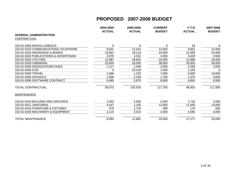|                                        | 2004-2005     | 2005-2006     | <b>CURRENT</b> | $Y-T-D$       | 2007-2008     |
|----------------------------------------|---------------|---------------|----------------|---------------|---------------|
|                                        | <b>ACTUAL</b> | <b>ACTUAL</b> | <b>BUDGET</b>  | <b>ACTUAL</b> | <b>BUDGET</b> |
| <b>GENERAL ADMINISTRATION</b>          |               |               |                |               |               |
| CONTRACTUAL                            |               |               |                |               |               |
| 102-01-5305 MISCELLANEOUS              | 0             | 0             | 0              | 29            | $\Omega$      |
| 102-01-5310 COMMUNICATIONS-TELEPHONE   | 9,621         | 12,515        | 12,000         | 9,851         | 12,000        |
| 102-01-5315 INSURANCE & BONDS          | 13,651        | 19,113        | 24,000         | 21,029        | 24,000        |
| 102-01-5320 PUBLICATIONS & ADVERTISING | 2,970         | 4,161         | 3,000          | 3,429         | 3,500         |
| 102-01-5325 UTILITIES                  | 12,987        | 18,942        | 24,000         | 14,988        | 20,000        |
| 102-01-5330 LIBRARIAN                  | 10,000        | 18,000        | 36,000         | 33,000        | 36,000        |
| 102-01-5335 ASSOCIATIONS DUES          | 1,117         | 1,348         | 2,500          | 2,258         | 2,500         |
| 102-01-5345 ICSC                       | 0             | 23,518        | 1,500          | 1,104         | $\Omega$      |
| 102-01-5350 TRAVEL                     | 1,066         | 1,223         | 7,000          | 6,930         | 10,000        |
| 102-01-5355 SCHOOLS                    | 1,696         | 2,228         | 1,750          | 1,375         | 3,000         |
| 102-01-5395 SOFTWARE CONTRACT          | 5,965         | 2,870         | 6,000          | 4,861         | 6,500         |
| TOTAL CONTRACTUAL                      | 59,073        | 103,918       | 117,750        | 98,853        | 117,500       |
| <b>MAINTENANCE</b>                     |               |               |                |               |               |
| 102-01-5410 BUILDING AND GROUNDS       | 1,543         | 5,930         | 2,500          | 1,718         | 2,500         |
| 102-01-5411 JANITORIAL                 | 4,447         | 1,105         | 13,000         | 11,000        | 13,000        |
| 102-01-5415 FURNITURE & FIXTURES       | 279           | 1,732         | 500            | 174           | 500           |
| 102-01-5420 MACHINERY & EQUIPMENT      | 2,115         | 3,914         | 2,500          | 4,285         | 4,000         |
| TOTAL MAINTENANCE                      | 8,384         | 12,681        | 18,500         | 17,177        | 20,000        |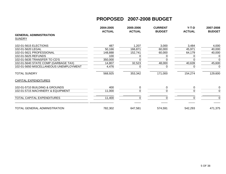|                                        | 2004-2005<br><b>ACTUAL</b> | 2005-2006<br><b>ACTUAL</b> | <b>CURRENT</b><br><b>BUDGET</b> | $Y-T-D$<br><b>ACTUAL</b> | 2007-2008<br><b>BUDGET</b> |
|----------------------------------------|----------------------------|----------------------------|---------------------------------|--------------------------|----------------------------|
| <b>GENERAL ADMINISTRATION</b>          |                            |                            |                                 |                          |                            |
| <b>SUNDRY</b>                          |                            |                            |                                 |                          |                            |
| 102-01-5615 ELECTIONS                  | 487                        | 1,207                      | 3,000                           | 3,484                    | 4,000                      |
| 102-01-5620 LEGAL                      | 50,166                     | 166,871                    | 60,000                          | 45,971                   | 40,000                     |
| 102-01-5621 PROFESSIONAL               | 148,888                    | 152,741                    | 60,000                          | 64,179                   | 40,000                     |
| 102-01-5625 REFUNDS                    | 100                        |                            |                                 |                          | 0                          |
| 102-01-5635 TRANSFER TO CD'S           | 350,000                    |                            |                                 |                          | $\Omega$                   |
| 102-01-5640 STATE COMP (GARBAGE TAX)   | 14,807                     | 32,523                     | 48,000                          | 40,639                   | 45,600                     |
| 102-01-5650 MISCELLANEOUS UNEMPLOYMENT | 4,476                      |                            | O                               | 0                        | 0                          |
| <b>TOTAL SUNDRY</b>                    | 568,925                    | 353,342                    | 171,000                         | 154,274                  | 129,600                    |
| <b>CAPITAL EXPENDITURES</b>            |                            |                            |                                 |                          |                            |
| 102-01-5710 BUILDING & GROUNDS         | 400                        | 0                          |                                 | 0                        | $\mathbf 0$                |
| 102-01-5715 MACHINERY & EQUIPMENT      | 11,000                     |                            |                                 |                          | 0                          |
| TOTAL CAPITAL EXPENDITURES             | 11,400                     |                            |                                 |                          | 0                          |
| TOTAL GENERAL ADMINISTRATION           | 782,302                    | 647,581                    | 574,591                         | 542,293                  | 471,375                    |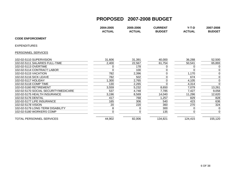|                                      | 2004-2005<br><b>ACTUAL</b> | 2005-2006<br><b>ACTUAL</b> | <b>CURRENT</b><br><b>BUDGET</b> | $Y-T-D$<br><b>ACTUAL</b> | 2007-2008<br><b>BUDGET</b> |
|--------------------------------------|----------------------------|----------------------------|---------------------------------|--------------------------|----------------------------|
| <b>CODE ENFORCEMENT</b>              |                            |                            |                                 |                          |                            |
| <b>EXPENDITURES</b>                  |                            |                            |                                 |                          |                            |
| PERSONNEL SERVICES                   |                            |                            |                                 |                          |                            |
| 102-02-5110 SUPERVISION              | 31,606                     | 31,391                     | 40,000                          | 36,288                   | 52,500                     |
| 102-02-5111 SALARIES FULL-TIME       | 2,400                      | 22,567                     | 61,754                          | 50,541                   | 65,893                     |
| 102-02-5113 OVERTIME                 | 0                          | 178                        | 0                               |                          | $\mathbf 0$                |
| 102-02-5114 CONTRACT LABOR           | $\Omega$                   | 100                        |                                 | 0                        | 0                          |
| 102-02-5115 VACATION                 | 782                        | 2,396                      |                                 | 1,170                    | 0                          |
| 102-02-5116 SICK LEAVE               | 782                        | 502                        | 0                               | 674                      | $\mathbf 0$                |
| 102-02-5117 HOLIDAY                  | 1,300                      | 2,765                      |                                 | 4,105                    | 0                          |
| 102-02-5118 COMP TIME                | 130                        | 2,265                      |                                 | 4,314                    | $\Omega$                   |
| 102-02-5160 RETIREMENT               | 3,559                      | 5,232                      | 8,650                           | 7,079                    | 13,261                     |
| 102-02-5170 SOCIAL SECURITY/MEDICARE | 537                        | 4,748                      | 7,785                           | 7,427                    | 9,058                      |
| 102-02-5175 HEALTH INSURANCE         | 3,196                      | 8,569                      | 14,040                          | 11,296                   | 12,620                     |
| 102-02-5176 DENTAL                   | 417                        | 768                        | 1,257                           | 829                      | 828                        |
| 102-02-5177 LIFE INSURANCE           | 165                        | 306                        | 540                             | 423                      | 636                        |
| 102-02-5178 VISION                   | 20                         | 220                        | 360                             | 270                      | 324                        |
| 102-02-5179 LONG TERM DISABILITY     | 8                          | 0                          | 300                             |                          | 0                          |
| 102-02-5180 WORKERS COMP             | 0                          | 0                          | 135                             | 0                        | $\mathbf 0$                |
| TOTAL PERSONNEL SERVICES             | 44,902                     | 82,006                     | 134,821                         | 124,415                  | 155,120                    |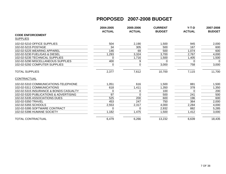|                                        | 2004-2005     | 2005-2006     | <b>CURRENT</b> | $Y-T-D$       | 2007-2008     |
|----------------------------------------|---------------|---------------|----------------|---------------|---------------|
| <b>CODE ENFORCEMENT</b>                | <b>ACTUAL</b> | <b>ACTUAL</b> | <b>BUDGET</b>  | <b>ACTUAL</b> | <b>BUDGET</b> |
|                                        |               |               |                |               |               |
| <b>SUPPLIES</b>                        |               |               |                |               |               |
| 102-02-5210 OFFICE SUPPLIES            | 504           | 2,190         | 1,500          | 945           | 2,000         |
| 102-02-5215 POSTAGE                    | 34            | 305           | 500            | 167           | 600           |
| 102-02-5225 WEARING APPAREL            | 146           | 69            | 500            | 1,074         | 600           |
| 102-02-5230 FUEL/GAS & DIESEL          | 1,293         | 3,324         | 3,700          | 2,767         | 4,000         |
| 102-02-5235 TECHNICAL SUPPLIES         | 0             | 1,716         | 1,500          | 1,405         | 1,500         |
| 102-02-5290 MISCELLANEOUS SUPPLIES     | 400           | 9             | 0              | 0             | 0             |
| 102-02-5292 COMPUTER SUPPLIES          | 0             | 0             | 3,000          | 758           | 3,000         |
| <b>TOTAL SUPPLIES</b>                  | 2,377         | 7,612         | 10,700         | 7,115         | 11,700        |
| CONTRACTUAL                            |               |               |                |               |               |
| 102-02-5310 COMMUNICATIONS-TELEPHONE   | 1,051         | 616           | 1,500          | 881           | 1,500         |
| 102-02-5311 COMMUNICATIONS             | 618           | 1,411         | 1,350          | 378           | 1,350         |
| 102-02-5315 INSURANCE & BONDS CASUALTY | 0             | 0             | 100            | 0             | 200           |
| 102-02-5320 PUBLICATIONS & ADVERTISING | 97            | $\Omega$      | 500            | 241           | 500           |
| 102-02-5335 ASSOCIATIONS DUES          | 525           | 200           | 600            | 196           | 600           |
| 102-02-5350 TRAVEL                     | 453           | 247           | 750            | 364           | 2,000         |
| 102-02-5355 SCHOOLS                    | 2,553         | 2,317         | 4,000          | 2,284         | 4,000         |
| 102-02-5395 SOFTWARE CONTRACT          |               |               | 2,932          | 882           | 5,285         |
| 102-02-5396 HUMANE SOCIETY             | 1,182         | 1,475         | 1,500          | 1,412         | 3,000         |
| <b>TOTAL CONTRACTUAL</b>               | 6,479         | 6,266         | 13,232         | 6,639         | 18,435        |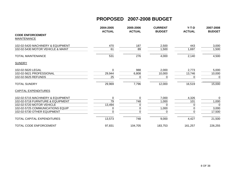|                                   | 2004-2005     | 2005-2006     | <b>CURRENT</b> | $Y-T-D$       | 2007-2008     |
|-----------------------------------|---------------|---------------|----------------|---------------|---------------|
|                                   | <b>ACTUAL</b> | <b>ACTUAL</b> | <b>BUDGET</b>  | <b>ACTUAL</b> | <b>BUDGET</b> |
| <b>CODE ENFORCEMENT</b>           |               |               |                |               |               |
| <b>MAINTENANCE</b>                |               |               |                |               |               |
| 102-02-5420 MACHINERY & EQUIPMENT | 470           | 187           | 2,500          | 443           | 3,000         |
| 102-02-5430 MOTOR VEHICLE & MAINT | 61            | 89            | 1,500          | 1,697         | 1,500         |
| <b>TOTAL MAINTENANCE</b>          | 531           | 276           | 4,000          | 2,140         | 4,500         |
| <b>SUNDRY</b>                     |               |               |                |               |               |
| 102-02-5620 LEGAL                 | $\Omega$      | 988           | 2,000          | 2,773         | 5,000         |
| 102-02-5621 PROFESSIONAL          | 29,944        | 6,808         | 10,000         | 13,746        | 10,000        |
| 102-02-5625 REFUNDS               | 25            | 0             | 0              | 0             | 0             |
| <b>TOTAL SUNDRY</b>               | 29,969        | 7,796         | 12,000         | 16,519        | 15,000        |
| <b>CAPITAL EXPENDITURES</b>       |               |               |                |               |               |
| 102-02-5715 MACHINERY & EQUIPMENT | $\pmb{0}$     | $\mathbf 0$   | 7,000          | 4,326         | 0             |
| 102-02-5718 FURNITURE & EQUIPMENT | 79            | 748           | 1,000          | 101           | 1,000         |
| 102-02-5720 MOTOR VEHICLE         | 13,494        | 0             | 0              | 0             | $\Omega$      |
| 102-02-5725 COMMUNICATIONS EQUIP  | 0             | 0             | 1,000          | 0             | 3,000         |
| 102-02-5730 OTHER EQUIPMENT       | 0             | 0             | 0              | 0             | 17,500        |
| <b>TOTAL CAPITAL EXPENDITURES</b> | 13,573        | 748           | 9,000          | 4,427         | 21,500        |
| TOTAL CODE ENFORCEMENT            | 97,831        | 104,705       | 183,753        | 161,257       | 226,255       |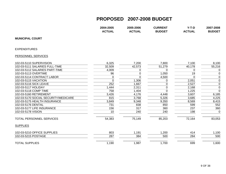**2004-2005 2005-2006 CURRENT Y-T-D 2007-2008**

**ACTUAL BUDGET**

| <b>MUNICIPAL COURT</b>               |        |                  |             |          |                |
|--------------------------------------|--------|------------------|-------------|----------|----------------|
| <b>EXPENDITURES</b>                  |        |                  |             |          |                |
| PERSONNEL SERVICES                   |        |                  |             |          |                |
| 102-03-5110 SUPERVISION              | 6,325  | 7,200            | 7,800       | 7,100    | 8,100          |
| 102-03-5111 SALARIES FULL-TIME       | 32,509 | 42,573           | 51,279      | 40,178   | 55,216         |
| 102-03-5112 SALARIES PART-TIME       | 4,009  | 0                | $\Omega$    | 0        | $\mathbf 0$    |
| 102-03-5113 OVERTIME                 | 96     | $\boldsymbol{0}$ | 1,050       | 19       | $\mathbf 0$    |
| 102-03-5114 CONTRACT LABOR           | 0      | $\overline{0}$   | 4,500       | $\Omega$ | $\mathbf 0$    |
| 102-03-5115 VACATION                 | 0      | 1,306            | 0           | 2,051    | $\mathbf 0$    |
| 102-03-5116 SICK LEAVE               | 252    | 1,667            | $\mathbf 0$ | 2,527    | $\mathbf 0$    |
| 102-03-5117 HOLIDAY                  | 1,444  | 2,311            | $\Omega$    | 2,168    | $\mathbf 0$    |
| 102-03-5118 COMP TIME                | 758    | 1,404            | $\Omega$    | 1,225    | $\overline{0}$ |
| 102-03-5160 RETIREMENT               | 3,426  | 4,176            | 4,448       | 3,607    | 6,185          |
| 102-03-5170 SOCIAL SECURITY/MEDICARE | 815    | 3,768            | 5,326       | 3,685    | 4,225          |
| 102-03-5175 HEALTH INSURANCE         | 3,849  | 9,348            | 9,350       | 8,569    | 8,415          |
| 102-03-5176 DENTAL                   | 731    | 838              | 850         | 599      | 552            |
| 102-03-5177 LIFE INSURANCE           | 156    | 317              | 360         | 237      | 360            |
| 102-03-5178 VISION                   | 10     | 240              | 240         | 198      | $\mathbf 0$    |
| <b>TOTAL PERSONNEL SERVICES</b>      | 54,383 | 75,149           | 85,203      | 72,164   | 83,053         |
| <b>SUPPLIES</b>                      |        |                  |             |          |                |
| 102-03-5210 OFFICE SUPPLIES          | 803    | 1,191            | 1,200       | 414      | 1,100          |
| 102-03-5215 POSTAGE                  | 287    | 384              | 500         | 284      | 500            |
| <b>TOTAL SUPPLIES</b>                | 1,190  | 1,987            | 1,700       | 699      | 1,600          |

**ACTUAL**

2007-2008

**ACTUAL BUDGET**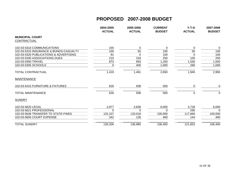|                                        | 2004-2005<br><b>ACTUAL</b> | 2005-2006<br><b>ACTUAL</b> | <b>CURRENT</b><br><b>BUDGET</b> | $Y-T-D$<br><b>ACTUAL</b> | 2007-2008<br><b>BUDGET</b> |
|----------------------------------------|----------------------------|----------------------------|---------------------------------|--------------------------|----------------------------|
| <b>MUNICIPAL COURT</b>                 |                            |                            |                                 |                          |                            |
| CONTRACTUAL                            |                            |                            |                                 |                          |                            |
| 102-03-5310 COMMUNICATIONS             | 155                        | 0                          | 0                               | 0                        | $\mathbf 0$                |
| 102-03-5315 INSURANCE & BONDS-CASUALTY | 100                        | 50                         | 100                             | 50                       | 100                        |
| 102-03-5320 PUBLICATIONS & ADVERTISING | 81                         | 0                          | 100                             | $\Omega$                 | 100                        |
| 102-03-5335 ASSOCIATIONS DUES          | 210                        | 318                        | 250                             | 105                      | 250                        |
| 102-03-5350 TRAVEL                     | 873                        | 693                        | 1,200                           | 1,530                    | 1,500                      |
| 102-03-5355 SCHOOLS                    | 0                          | 400                        | 1,000                           | 260                      | 1,000                      |
| <b>TOTAL CONTRACTUAL</b>               | 1,419                      | 1,461                      | 2,650                           | 1,945                    | 2,950                      |
| <b>MAINTENANCE</b>                     |                            |                            |                                 |                          |                            |
| 102-03-5415 FURNITURE & FIXTURES       | 626                        | 938                        | 500                             | $\Omega$                 | $\mathbf 0$                |
| <b>TOTAL MAINTENANCE</b>               | 626                        | 938                        | 500                             | $\Omega$                 | $\mathbf 0$                |
| <b>SUNDRY</b>                          |                            |                            |                                 |                          |                            |
| 102-03-5620 LEGAL                      | 2,877                      | 3,836                      | 6,000                           | 3,728                    | 6,000                      |
| 102-03-5621 PROFESSIONAL               | $\Omega$                   | $\Omega$                   | $\Omega$                        | 295                      | $\Omega$                   |
| 102-03-5636 TRANSFER TO STATE-FINES    | 132,107                    | 133,018                    | 100,000                         | 117,666                  | 100,000                    |
| 102-03-5655 COURT EXPENSE              | 342                        | 126                        | 400                             | 144                      | 400                        |
| <b>TOTAL SUNDRY</b>                    | 135,326                    | 136,980                    | 106,400                         | 121,832                  | 106,400                    |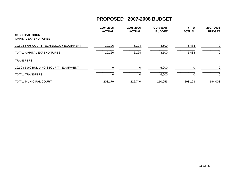|                                                       | 2004-2005<br><b>ACTUAL</b> | 2005-2006<br><b>ACTUAL</b> | <b>CURRENT</b><br><b>BUDGET</b> | $Y-T-D$<br><b>ACTUAL</b> | 2007-2008<br><b>BUDGET</b> |
|-------------------------------------------------------|----------------------------|----------------------------|---------------------------------|--------------------------|----------------------------|
| <b>MUNICIPAL COURT</b><br><b>CAPITAL EXPENDITURES</b> |                            |                            |                                 |                          |                            |
| 102-03-5705 COURT TECHNOLOGY EQUIPMENT                | 10,226                     | 6,224                      | 8,500                           | 6,484                    | $\mathbf 0$                |
| TOTAL CAPITAL EXPENDITURES                            | 10,226                     | 6,224                      | 8,500                           | 6,484                    | 0                          |
| <b>TRANSFERS</b>                                      |                            |                            |                                 |                          |                            |
| 102-03-5960 BUILDING SECURITY EQUIPMENT               | $\Omega$                   |                            | 6,000                           |                          | $\mathbf 0$                |
| <b>TOTAL TRANSFERS</b>                                | 0                          | 0                          | 6,000                           | 0                        | 0                          |
| <b>TOTAL MUNICIPAL COURT</b>                          | 203,170                    | 222,740                    | 210,953                         | 203,123                  | 194,003                    |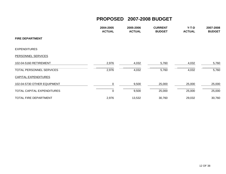|                             | 2004-2005<br><b>ACTUAL</b> | 2005-2006<br><b>ACTUAL</b> | <b>CURRENT</b><br><b>BUDGET</b> | Y-T-D<br><b>ACTUAL</b> | 2007-2008<br><b>BUDGET</b> |
|-----------------------------|----------------------------|----------------------------|---------------------------------|------------------------|----------------------------|
| <b>FIRE DEPARTMENT</b>      |                            |                            |                                 |                        |                            |
| <b>EXPENDITURES</b>         |                            |                            |                                 |                        |                            |
| PERSONNEL SERVICES          |                            |                            |                                 |                        |                            |
| 102-04-5160 RETIREMENT      | 2,976                      | 4,032                      | 5,760                           | 4,032                  | 5,760                      |
| TOTAL PERSONNEL SERVICES    | 2,976                      | 4,032                      | 5,760                           | 4,032                  | 5,760                      |
| <b>CAPITAL EXPENDITURES</b> |                            |                            |                                 |                        |                            |
| 102-04-5730 OTHER EQUIPMENT | 0                          | 9,500                      | 25,000                          | 25,000                 | 25,000                     |
| TOTAL CAPITAL EXPENDITURES  | $\mathbf 0$                | 9,500                      | 25,000                          | 25,000                 | 25,000                     |
| TOTAL FIRE DEPARTMENT       | 2,976                      | 13,532                     | 30,760                          | 29,032                 | 30,760                     |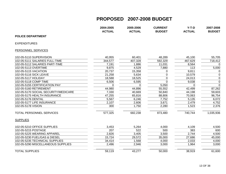|                                      | 2004-2005<br><b>ACTUAL</b> | 2005-2006<br><b>ACTUAL</b> | <b>CURRENT</b><br><b>BUDGET</b> | $Y-T-D$<br><b>ACTUAL</b> | 2007-2008<br><b>BUDGET</b> |
|--------------------------------------|----------------------------|----------------------------|---------------------------------|--------------------------|----------------------------|
| <b>POLICE DEPARTMENT</b>             |                            |                            |                                 |                          |                            |
| <b>EXPENDITURES</b>                  |                            |                            |                                 |                          |                            |
| PERSONNEL SERVICES                   |                            |                            |                                 |                          |                            |
| 102-05-5110 SUPERVISION              | 40,955                     | 60,401                     | 48,289                          | 45,100                   | 55,705                     |
| 102-05-5111 SALARIES FULL-TIME       | 344,577                    | 407,328                    | 592,329                         | 467,629                  | 718,412                    |
| 102-05-5112 SALARIES PART-TIME       | 7,191                      | 1,886                      | 11,031                          | 8,564                    | $\Omega$                   |
| 102-05-5113 OVERTIME                 | 9,875                      | 4,529                      | 7,880                           | 113                      | 5,000                      |
| 102-05-5115 VACATION                 | 20,737                     | 15,358                     | 0                               | 9,811                    | 0                          |
| 102-05-5116 SICK LEAVE               | 21,258                     | 5,634                      | 0                               | 10,579                   | $\mathbf 0$                |
| 102-05-5117 HOLIDAY                  | 18,588                     | 18,525                     | $\Omega$                        | 24,013                   | $\mathbf 0$                |
| 102-05-5118 COMP TIME                | 6,506                      | 6,595                      | $\Omega$                        | 9,038                    | $\mathbf 0$                |
| 102-05-5155 CERTIFICATION PAY        | $\Omega$                   | $\Omega$                   | 5,050                           | $\Omega$                 | $\overline{0}$             |
| 102-05-5160 RETIREMENT               | 44,980                     | 44,896                     | 55,552                          | 42,499                   | 87,262                     |
| 102-05-5170 SOCIAL SECURITY/MEDICARE | 7,330                      | 40,669                     | 50,840                          | 44,198                   | 59,603                     |
| 102-05-5175 HEALTH INSURANCE         | 47,255                     | 65,816                     | 88,806                          | 70,063                   | 96,754                     |
| 102-05-5176 DENTAL                   | 5,567                      | 6,246                      | 7,752                           | 5,135                    | 6,072                      |
| 102-05-5177 LIFE INSURANCE           | 2,107                      | 2,606                      | 3,671                           | 2,479                    | 4,752                      |
| 102-05-5178 VISION                   | 300                        | 1,750                      | 2,280                           | 1,523                    | 2,376                      |
| <b>TOTAL PERSONNEL SERVICES</b>      | 577,325                    | 682,238                    | 873,480                         | 740,744                  | 1,035,936                  |
| <b>SUPPLIES</b>                      |                            |                            |                                 |                          |                            |
| 102-05-5210 OFFICE SUPPLIES          | 3,453                      | 5,264                      | 4,000                           | 4,109                    | 4,500                      |
| 102-05-5215 POSTAGE                  | 207                        | 522                        | 500                             | 383                      | 600                        |
| 102-05-5225 WEARING APPAREL          | 2,826                      | 3,405                      | 3,500                           | 2,744                    | 4,500                      |
| 102-05-5230 FUEL/GAS & DIESEL        | 15,724                     | 29,572                     | 35,000                          | 27,686                   | 45,000                     |
| 102-05-5235 TECHNICAL SUPPLIES       | 34,414                     | 1,568                      | 4,000                           | 2,033                    | 4,000                      |
| 102-05-5290 MISCELLANEOUS SUPPLIES   | 2,496                      | 2,946                      | 3,000                           | 1,964                    | 3,000                      |
| <b>TOTAL SUPPLIES</b>                | 59,119                     | 43,277                     | 50,000                          | 38,919                   | 61,600                     |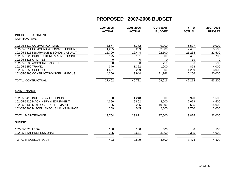|                                        | 2004-2005<br><b>ACTUAL</b> | 2005-2006<br><b>ACTUAL</b> | <b>CURRENT</b><br><b>BUDGET</b> | $Y-T-D$<br><b>ACTUAL</b> | 2007-2008<br><b>BUDGET</b> |
|----------------------------------------|----------------------------|----------------------------|---------------------------------|--------------------------|----------------------------|
| <b>POLICE DEPARTMENT</b>               |                            |                            |                                 |                          |                            |
| CONTRACTUAL                            |                            |                            |                                 |                          |                            |
| 102-05-5310 COMMUNICATIONS             | 3,877                      | 6,372                      | 9,000                           | 5,597                    | 9,000                      |
| 102-05-5311 COMMUNICATIONS-TELEPHONE   | 1,235                      | 239                        | 2,000                           | 2,481                    | 3,500                      |
| 102-05-5315 INSURANCE & BONDS-CASUALTY | 15,799                     | 22,444                     | 22,500                          | 25,264                   | 22,500                     |
| 102-05-5320 PUBLICATIONS & ADVERTISING | 175                        | 191                        | 500                             | 431                      | 700                        |
| 102-05-5325 UTILITIES                  | 0                          | 0                          | 0                               | 19                       | $\Omega$                   |
| 102-05-5335 ASSOCIATIONS DUES          | $\mathbf{0}$               | 0                          | 750                             | 50                       | 500                        |
| 102-05-5350 TRAVEL                     | 340                        | 1,322                      | 1,000                           | 878                      | 4,000                      |
| 102-05-5355 SCHOOLS                    | 1,681                      | 2,209                      | 1,500                           | 1,239                    | 3,000                      |
| 102-05-5395 CONTRACTS-MISCELLANEOUS    | 4,356                      | 13,944                     | 21,766                          | 6,256                    | 20,000                     |
| <b>TOTAL CONTRACTUAL</b>               | 27,462                     | 46,721                     | 59,016                          | 42,214                   | 63,200                     |
| <b>MAINTENANCE</b>                     |                            |                            |                                 |                          |                            |
| 102-05-5410 BUILDING & GROUNDS         | $\mathbf{0}$               | 1,248                      | 1,000                           | 920                      | 1,500                      |
| 102-05-5420 MACHINERY & EQUIPMENT      | 4,390                      | 9,802                      | 4,500                           | 2,679                    | 4,500                      |
| 102-05-5430 MOTOR VEHICLE & MAINT      | 9,105                      | 12,225                     | 10,000                          | 8,525                    | 14,000                     |
| 102-05-5460 MISCELLANEOUS MAINTANANCE  | 269                        | 545                        | 2,000                           | 1,700                    | 3,000                      |
| <b>TOTAL MAINTENANCE</b>               | 13,764                     | 23,821                     | 17,500                          | 13,825                   | 23,000                     |
| <b>SUNDRY</b>                          |                            |                            |                                 |                          |                            |
| 102-05-5620 LEGAL                      | 188                        | 138                        | 500                             | 88                       | 500                        |
| 102-05-5621 PROFESSIONAL               | 235                        | 2,671                      | 3,000                           | 3,385                    | 4,000                      |
| <b>TOTAL MISCELLANEOUS</b>             | 423                        | 2,809                      | 3,500                           | 3,473                    | 4,500                      |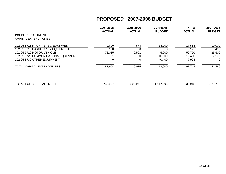|                                      | 2004-2005<br><b>ACTUAL</b> | 2005-2006<br><b>ACTUAL</b> | <b>CURRENT</b><br><b>BUDGET</b> | $Y-T-D$<br><b>ACTUAL</b> | 2007-2008<br><b>BUDGET</b> |
|--------------------------------------|----------------------------|----------------------------|---------------------------------|--------------------------|----------------------------|
| <b>POLICE DEPARTMENT</b>             |                            |                            |                                 |                          |                            |
| <b>CAPITAL EXPENDITURES</b>          |                            |                            |                                 |                          |                            |
| 102-05-5715 MACHINERY & EQUIPMENT    | 9,600                      | 574                        | 18,000                          | 17,563                   | 10,000                     |
| 102-05-5718 FURNITURE & EQUIPMENT    | 158                        |                            |                                 | 121                      | 480                        |
| 102-05-5720 MOTOR VEHICLE            | 78,025                     | 9,501                      | 45,000                          | 59,750                   | 23,500                     |
| 102-05-5725 COMMUNICATIONS EQUIPMENT | 121                        |                            | 10,500                          | 12,400                   | 7,500                      |
| 102-05-5730 OTHER EQUIPMENT          |                            |                            | 40,400                          | 7,908                    | 0                          |
| TOTAL CAPITAL EXPENDITURES           | 87,904                     | 10,075                     | 113,900                         | 97,743                   | 41,480                     |
|                                      |                            |                            |                                 |                          |                            |
|                                      |                            |                            |                                 |                          |                            |
|                                      |                            |                            |                                 |                          |                            |

| TOTAL POLICE DEPARTMENT | 765,997 | 808,941 | 117,396 | 936,918 | .229,716 |
|-------------------------|---------|---------|---------|---------|----------|
|-------------------------|---------|---------|---------|---------|----------|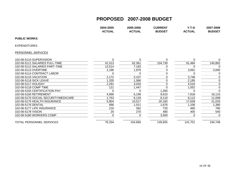|                                      | 2004-2005<br><b>ACTUAL</b> | 2005-2006<br><b>ACTUAL</b> | <b>CURRENT</b><br><b>BUDGET</b> | $Y-T-D$<br><b>ACTUAL</b> | 2007-2008<br><b>BUDGET</b> |
|--------------------------------------|----------------------------|----------------------------|---------------------------------|--------------------------|----------------------------|
| <b>PUBLIC WORKS</b>                  |                            |                            |                                 |                          |                            |
| EXPENDITURES                         |                            |                            |                                 |                          |                            |
| PERSONNEL SERVICES                   |                            |                            |                                 |                          |                            |
| 102-06-5110 SUPERVISION              | 0                          | 0                          |                                 |                          | 0                          |
| 102-06-5111 SALARIES FULL-TIME       | 41,513                     | 62,361                     | 104,739                         | 91,484                   | 140,892                    |
| 102-06-5112 SALARIES PART-TIME       | 13,514                     | 7,183                      |                                 |                          | $\Omega$                   |
| 102-06-5113 OVERTIME                 | 2,196                      | 1,979                      |                                 | 3,061                    | 3,000                      |
| 102-06-5114 CONTRACT LABOR           | 0                          | 0                          |                                 | O                        | 0                          |
|                                      | 2,172                      | 3,107                      |                                 | 3,748                    | 0                          |
| 102-06-5116 SICK LEAVE               | 1,335                      | 1,066                      |                                 | 2,195                    | $\mathbf 0$                |
| 102-06-5117 HOLIDAY                  | 2,291                      | 3,033                      |                                 | 4,516                    | 0                          |
| 102-06-5118 COMP TIME                | 121                        | 1,447                      |                                 | 1,052                    | $\mathbf 0$                |
| 102-06-5155 CERTIFICATION PAY        | 0                          |                            | 1,260                           |                          | $\overline{0}$             |
| 102-06-5160 RETIREMENT               | 4,696                      | 6,199                      | 9,010                           | 7,918                    | 16,115                     |
| 102-06-5170 SOCIAL SECURITY/MEDICARE | 1,753                      | 6,133                      | 8,110                           | 8,113                    | 11,008                     |
| 102-06-5175 HEALTH INSURANCE         | 5,804                      | 10,517                     | 20,160                          | 17,639                   | 21,033                     |
| 102-06-5176 DENTAL                   | 696                        | 1,011                      | 1,676                           | 1,106                    | 1,380                      |
| 102-06-5177 LIFE INSURANCE           | 216                        | 362                        | 720                             | 465                      | 780                        |
| 102-06-5178 VISION                   | 20                         | 270                        | 480                             | 405                      | 540                        |
| 102-06-5180 WORKERS COMP             | 0                          | $\Omega$                   | 3,500                           | 0                        | 0                          |
| TOTAL PERSONNEL SERVICES             | 76,334                     | 104,669                    | 149,655                         | 141,701                  | 194,748                    |
|                                      |                            |                            |                                 |                          |                            |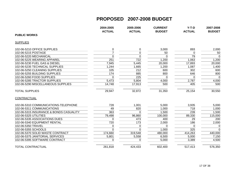|                                         | 2004-2005<br><b>ACTUAL</b> | 2005-2006<br><b>ACTUAL</b> | <b>CURRENT</b><br><b>BUDGET</b> | $Y-T-D$<br><b>ACTUAL</b> | 2007-2008<br><b>BUDGET</b> |
|-----------------------------------------|----------------------------|----------------------------|---------------------------------|--------------------------|----------------------------|
| <b>PUBLIC WORKS</b>                     |                            |                            |                                 |                          |                            |
| <b>SUPPLIES</b>                         |                            |                            |                                 |                          |                            |
| 102-06-5210 OFFICE SUPPLIES             | 0                          | 0                          | 3,000                           | 893                      | 2,000                      |
| 102-06-5215 POSTAGE                     | $\overline{7}$             | $\mathbf 0$                | 50                              | $\Omega$                 | 50                         |
| 102-06-5220 MECHANICAL                  | $\mathbf 0$                | $\Omega$                   | $\Omega$                        | 79                       | $\Omega$                   |
| 102-06-5225 WEARING APPAREL             | 251                        | 722                        | 1,200                           | 1,063                    | 1,200                      |
| 102-06-5230 FUEL GAS & DIESEL           | 7,945                      | 5,445                      | 20,000                          | 17,893                   | 20,000                     |
| 102-06-5235 TECHNICAL SUPPLIES          | 1,244                      | 1,665                      | 1,200                           | 1,087                    | 1,400                      |
| 102-06-5250 CLEANING SUPPLIES           | 105                        | 212                        | 600                             | 302                      | 600                        |
| 102-06-5255 BUILDING SUPPLIES           | 174                        | 885                        | 800                             | 646                      | 800                        |
| 102-06-5260 FOOD SUPPLIES               | <sup>0</sup>               | 225                        | $\Omega$                        | $\Omega$                 | $\Omega$                   |
| 102-06-5285 TRACTOR SUPPLIES            | 5,473                      | 5,804                      | 4,000                           | 2,787                    | 4,000                      |
| 102-06-5290 MISCELLANEOUS SUPPLIES      | 14,748                     | 17,913                     | 500                             | 405                      | 500                        |
| <b>TOTAL SUPPLIES</b>                   | 29,947                     | 32,872                     | 31,350                          | 25,154                   | 30,550                     |
| CONTRACTUAL                             |                            |                            |                                 |                          |                            |
| 102-06-5310 COMMUNICATIONS-TELEPHONE    | 728                        | 1,001                      | 5,000                           | 3,935                    | 5,000                      |
| 102-06-5311 COMMUNICATIONS              | 49                         | 820                        | 1,000                           | 718                      | 1,000                      |
| 102-06-5315 INSURANCE & BONDS CASUALITY | 363                        | $\Omega$                   | 1,500                           | 239                      | 1,500                      |
| 102-06-5325 UTILITIES                   | 79,498                     | 96,860                     | 100,000                         | 89,330                   | 115,000                    |
| 102-06-5335 ASSOCIATIONS DUES           | $\Omega$                   | 473                        | 400                             | 29                       | 200                        |
| 102-06-5340 EQUIPMENT RENTAL            | 720                        | 173                        | 2,000                           | 186                      | 2,000                      |
| 102-06-5350 TRAVEL                      | 0                          | 0                          | $\Omega$                        | $\Omega$                 | $\Omega$                   |
| 102-06-5355 SCHOOLS                     | $\Omega$                   | $\Omega$                   | 1,000                           | 325                      | $\overline{0}$             |
| 102-06-5370 SOLID WASTE CONTRACT        | 174,660                    | 319,548                    | 480,000                         | 414,263                  | 440,000                    |
| 102-06-5375 JANITORIAL SERVICES         | 5,801                      | 5,558                      | 6,500                           | 5,000                    | 7,150                      |
| 102-06-5395 SOFTWARE CONTRACT           | $\Omega$                   | $\Omega$                   | 5,000                           | 3,389                    | 4,500                      |
| <b>TOTAL CONTRACTUAL</b>                | 261,818                    | 424,433                    | 602,400                         | 517,413                  | 576,350                    |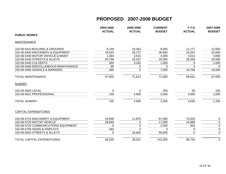|                                       | 2004-2005<br><b>ACTUAL</b> | 2005-2006<br><b>ACTUAL</b> | <b>CURRENT</b><br><b>BUDGET</b> | $Y-T-D$<br><b>ACTUAL</b> | 2007-2008<br><b>BUDGET</b> |
|---------------------------------------|----------------------------|----------------------------|---------------------------------|--------------------------|----------------------------|
| <b>PUBLIC WORKS</b>                   |                            |                            |                                 |                          |                            |
| <b>MAINTENANCE</b>                    |                            |                            |                                 |                          |                            |
| 102-06-5410 BUILDING & GROUNDS        | 6,248                      | 10,452                     | 9,000                           | 11,177                   | 12,000                     |
| 102-06-5420 MACHINERY & EQUIPMENT     | 18,020                     | 33,727                     | 30,000                          | 16,337                   | 20,000                     |
| 102-06-5430 MOTOR VEHICLE & MAINT     | 1,364                      | 3,515                      | 4,000                           | 3,014                    | 4,000                      |
| 102-06-5435 STREETS & ALLEYS          | 20,759                     | 20,537                     | 20,000                          | 28,345                   | 20,000                     |
| 102-06-5440 CULVERTS                  | 260                        | 3,282                      | 1,000                           | 0                        | 1,000                      |
| 102-06-5460 MISCELLANEOUS MAINTANANCE | 85                         | 0                          | $\Omega$                        | 0                        | $\Omega$                   |
| 102-06-5465 SIGNALS & MARKERS         | 269                        | 0                          | 7,000                           | 10,758                   | 10,000                     |
| <b>TOTAL MAINTENANCE</b>              | 47,005                     | 71,513                     | 71,000                          | 69,631                   | 67,000                     |
| <b>SUNDRY</b>                         |                            |                            |                                 |                          |                            |
| 102-06-5620 LEGAL                     | $\mathbf 0$                | 0                          | 200                             | 30                       | 200                        |
| 102-06-5621 PROFESSIONAL              | 130                        | 4,900                      | 2,000                           | 4,000                    | 1,000                      |
| <b>TOTAL SUNDRY</b>                   | 130                        | 4,900                      | 2,200                           | 4,030                    | 1,200                      |
| <b>CAPITAL EXPENDITURES</b>           |                            |                            |                                 |                          |                            |
| 102-06-5715 MACHINERY & EQUIPMENT     | 16,500                     | 11,875                     | 67,500                          | 70,834                   | $\mathbf 0$                |
| 102-06-5720 MOTOR VEHICLE             | 29,849                     | 0                          | 17,000                          | 14,989                   | $\pmb{0}$                  |
| 102-06-5725 COMMUNICATIONS EQUIPMENT  | $\Omega$                   | 0                          | 2,500                           | 920                      | $\pmb{0}$                  |
| 102-06-5750 SIGNS & DISPLAYS          | 180                        | $\Omega$                   | 0                               | 0                        | $\mathbf 0$                |
| 102-06-5820 STREETS & ALLEYS          | $\Omega$                   | 16,662                     | 55,000                          | $\Omega$                 | $\overline{0}$             |
| <b>TOTAL CAPITAL EXPENDITURES</b>     | 46,529                     | 28,537                     | 142,000                         | 86,744                   | $\mathbf 0$                |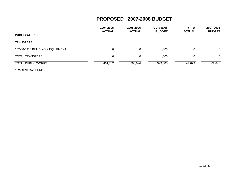|                                  | 2004-2005<br><b>ACTUAL</b> | 2005-2006<br><b>ACTUAL</b> | <b>CURRENT</b><br><b>BUDGET</b> | Y-T-D<br><b>ACTUAL</b> | 2007-2008<br><b>BUDGET</b> |
|----------------------------------|----------------------------|----------------------------|---------------------------------|------------------------|----------------------------|
| <b>PUBLIC WORKS</b>              |                            |                            |                                 |                        |                            |
| <b>TRANSFERS</b>                 |                            |                            |                                 |                        |                            |
| 102-06-5910 BUILDING & EQUIPMENT | $\Omega$                   |                            | 1,000                           |                        | $\Omega$                   |
| <b>TOTAL TRANSFERS</b>           | 0                          |                            | 1,000                           |                        | $\Omega$                   |
| <b>TOTAL PUBLIC WORKS</b>        | 461,762                    | 666,924                    | 999,605                         | 844,673                | 869,848                    |

102-GENERAL FUND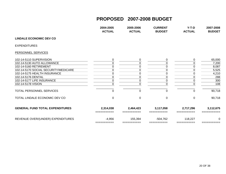|                                        | 2004-2005<br><b>ACTUAL</b> | 2005-2006<br><b>ACTUAL</b> | <b>CURRENT</b><br><b>BUDGET</b> | $Y-T-D$<br><b>ACTUAL</b> | 2007-2008<br><b>BUDGET</b> |
|----------------------------------------|----------------------------|----------------------------|---------------------------------|--------------------------|----------------------------|
| <b>LINDALE ECONOMIC DEV CO</b>         |                            |                            |                                 |                          |                            |
| <b>EXPENDITURES</b>                    |                            |                            |                                 |                          |                            |
| PERSONNEL SERVICES                     |                            |                            |                                 |                          |                            |
| 102-14-5110 SUPERVISION                | 0                          | 0                          | 0                               | 0                        | 65,000                     |
| 102-14-5130 AUTO ALLOWANCE             | 0                          | 0                          | 0                               | 0                        | 7,200                      |
| 102-14-5160 RETIREMENT                 | 0                          | 0                          | 0                               |                          | 8,087                      |
| 102-14-5170 SOCIAL SECURITY/MEDICARE   | 0                          | 0                          |                                 |                          | 5,525                      |
| 102-14-5175 HEALTH INSURANCE           | 0                          | 0                          | 0                               |                          | 4,210                      |
| 102-14-5176 DENTAL                     | 0                          | 0                          |                                 |                          | 288                        |
| 102-14-5177 LIFE INSURANCE             | 0                          | 0                          | 0                               | 0                        | 300                        |
| 102-14-5178 VISION                     | $\Omega$                   | $\Omega$                   | $\Omega$                        | 0                        | 108                        |
| TOTAL PERSONNEL SERVICES               | 0                          | 0                          | 0                               | 0                        | 90,718                     |
| TOTAL LINDALE ECONOMIC DEV CO          | $\Omega$                   | $\Omega$                   | $\Omega$                        | $\Omega$                 | 90,718                     |
| <b>GENERAL FUND TOTAL EXPENDITURES</b> | 2,314,038                  | 2,464,423                  | 3,117,058                       | 2,717,296                | 3,112,675                  |
| REVENUE OVER/(UNDER) EXPENDITURES      | $-4,956$<br>===========    | 155,394<br>===========     | $-504,762$<br>===========       | 118,227                  | 0                          |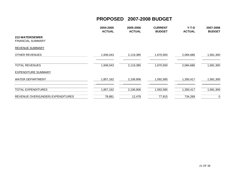|                                             | 2004-2005<br><b>ACTUAL</b> | 2005-2006<br><b>ACTUAL</b> | <b>CURRENT</b><br><b>BUDGET</b> | $Y-T-D$<br><b>ACTUAL</b> | 2007-2008<br><b>BUDGET</b> |
|---------------------------------------------|----------------------------|----------------------------|---------------------------------|--------------------------|----------------------------|
| 212-WATER/SEWER<br><b>FINANCIAL SUMMARY</b> |                            |                            |                                 |                          |                            |
| <b>REVENUE SUMMARY</b>                      |                            |                            |                                 |                          |                            |
| <b>OTHER REVENUES</b>                       | 1,936,043                  | 2,119,385                  | 1,670,500                       | 2,084,686                | 1,581,300                  |
| <b>TOTAL REVENUES</b>                       | 1,936,043                  | 2,119,385                  | 1,670,500                       | 2,084,686                | 1,581,300                  |
| <b>EXPENDITURE SUMMARY</b>                  |                            |                            |                                 |                          |                            |
| <b>WATER DEPARTMENT</b>                     | 1,857,162                  | 2,106,906                  | 1,592,585                       | 1,350,417                | 1,581,300                  |
| <b>TOTAL EXPENDITURES</b>                   | 1,857,162                  | 2,106,906                  | 1,592,585                       | 1,350,417                | 1,581,300                  |
| REVENUE OVER/(UNDER) EXPENDITURES           | 78,881                     | 12,478                     | 77,915                          | 734,269                  | 0                          |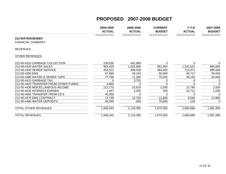|                                             | 2004-2005     | 2005-2006     | <b>CURRENT</b> | $Y-T-D$       | 2007-2008     |
|---------------------------------------------|---------------|---------------|----------------|---------------|---------------|
|                                             | <b>ACTUAL</b> | <b>ACTUAL</b> | <b>BUDGET</b>  | <b>ACTUAL</b> | <b>BUDGET</b> |
| 212-WATER/SEWER<br><b>FINANCIAL SUMMARY</b> | ===========   | ===========   | ===========    | ===========   | ===========   |
| <b>REVENUES</b>                             |               |               |                |               |               |
| <b>OTHER REVENUES</b>                       |               |               |                |               |               |
| 212-00-4310 GARBAGE COLLECTION              | 236,835       | 442,989       | 0              | 0             | 0             |
| 212-00-4330 WATER SALES                     | 903,429       | 1,025,990     | 981,000        | 1,242,522     | 980,000       |
| 212-00-4340 SEWER SERVICE                   | 453,521       | 499,536       | 484,000        | 713,371       | 485,000       |
| 212-00-4350 EMS                             | 47,686        | 49,191        | 50,000         | 46,717        | 50,000        |
| 212-00-4380 WATER & SEWER TAPS              | 77,798        | 71,300        | 70,000         | 48,150        | 50,000        |
| 212-00-4410 GARBAGE TAX                     |               | 3,781         |                |               | 0             |
| 212-00-4420 TRANSFER FROM OTHER FUNDS       | 4,865         |               |                |               | $\Omega$      |
| 212-00-4430 MISCELLANEOUS INCOME            | 112,170       | 10,819        | 2,500          | 13,796        | 2,500         |
| 212-00-4435 INTEREST EARNED                 | 1,457         | 3,355         | 200            | 10,711        | 1,000         |
| 212-00-4465 TRANSFER FROM CD'S              | 40,000        |               |                |               | 0             |
| 212-00-4475 EMS CONTRACT                    | 12,728        | 12,728        | 12,800         | 9,546         | 12,800        |
| 212-00-4480 WATER DEPOSITS                  | 45,555        | $-304$        | 70,000         | $-128$        | 0             |
| TOTAL OTHER REVENUES                        | 1,936,043     | 2,119,385     | 1,670,500      | 2,084,686     | 1,581,300     |
| <b>TOTAL REVENUES</b>                       | 1,936,043     | 2,119,385     | 1,670,500      | 2,084,686     | 1,581,300     |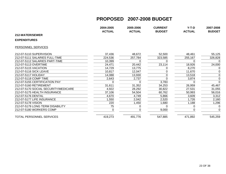|                                      | 2004-2005     | 2005-2006     | <b>CURRENT</b> | $Y-T-D$       | 2007-2008     |
|--------------------------------------|---------------|---------------|----------------|---------------|---------------|
|                                      | <b>ACTUAL</b> | <b>ACTUAL</b> | <b>BUDGET</b>  | <b>ACTUAL</b> | <b>BUDGET</b> |
| 212-WATER/SEWER                      |               |               |                |               |               |
| <b>EXPENDITURES</b>                  |               |               |                |               |               |
| PERSONNEL SERVICES                   |               |               |                |               |               |
| 212-07-5110 SUPERVISION              | 37,436        | 48,672        | 52,500         | 48,461        | 55,125        |
| 212-07-5111 SALARIES FULL-TIME       | 224,536       | 257,784       | 323,585        | 255,167       | 326,828       |
| 212-07-5112 SALARIES PART-TIME       | 10,399        |               |                | $\Omega$      | 0             |
| 212-07-5113 OVERTIME                 | 24,471        | 20,442        | 23,114         | 18,926        | 24,000        |
| 212-07-5115 VACATION                 | 14,729        | 13,775        |                | 8,270         | 0             |
| 212-07-5116 SICK LEAVE               | 10,817        | 12,047        |                | 11,670        | 0             |
| 212-07-5117 HOLIDAY                  | 14,088        | 13,930        |                | 13,518        | 0             |
| 212-07-5118 COMP TIME                | 2,643         | 2,737         |                | 3,874         | 0             |
| 212-07-5155 CERTIFICATION PAY        |               |               | 3,783          |               | $\mathbf 0$   |
| 212-07-5160 RETIREMENT               | 31,611        | 31,352        | 34,253         | 26,959        | 45,467        |
| 212-07-5170 SOCIAL SECURITY/MEDICARE | 4,922         | 28,292        | 30,822         | 27,531        | 31,055        |
| 212-07-5175 HEALTH INSURANCE         | 37,106        | 54,504        | 60,762         | 50,993        | 56,016        |
| 212-07-5176 DENTAL                   | 4,670         | 4,749         | 5,866          | 3,609         | 3,312         |
| 212-07-5177 LIFE INSURANCE           | 1,550         | 2,042         | 2,520          | 1,726         | 2,160         |
| 212-07-5178 VISION                   | 220           | 1,450         | 1,680          | 1,188         | 1,296         |
| 212-07-5179 LONG TERM DISABILITY     | 75            |               |                | 0             | 0             |
| 212-07-5180 WORKERS COMP             |               |               | 9,000          | 0             | 0             |
| TOTAL PERSONNEL SERVICES             | 419,273       | 491,776       | 547,885        | 471,892       | 545,259       |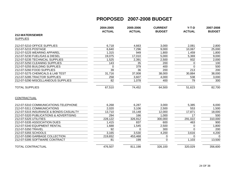|                                        | 2004-2005<br><b>ACTUAL</b> | 2005-2006<br><b>ACTUAL</b> | <b>CURRENT</b><br><b>BUDGET</b> | $Y-T-D$<br><b>ACTUAL</b> | 2007-2008<br><b>BUDGET</b> |
|----------------------------------------|----------------------------|----------------------------|---------------------------------|--------------------------|----------------------------|
| 212-WATER/SEWER                        |                            |                            |                                 |                          |                            |
| <b>SUPPLIES</b>                        |                            |                            |                                 |                          |                            |
| 212-07-5210 OFFICE SUPPLIES            | 6,718                      | 4,663                      | 3,000                           | 2,081                    | 2,800                      |
| 212-07-5215 POSTAGE                    | 6,640                      | 7,296                      | 9,000                           | 10,067                   | 25,000                     |
| 212-07-5225 WEARING APPAREL            | 1,315                      | 949                        | 1,800                           | 1,459                    | 1,800                      |
| 212-07-5230 FUEL/GAS & DIESEL          | 19,075                     | 17,010                     | 5,000                           | 5,369                    | 9,000                      |
| 212-07-5235 TECHNICAL SUPPLIES         | 1,525                      | 2,391                      | 2,500                           | 932                      | 2,000                      |
| 212-07-5250 CLEANING SUPPLIES          | 143                        | 35                         | 200                             | 0                        | 100                        |
| 212-07-5255 BUILDING SUPPLIES          | $\Omega$                   | 379                        | 400                             | $\mathbf 0$              | 500                        |
| 212-07-5260 FOOD SUPPLIES              | 39                         | $\overline{36}$            | 200                             | 213                      | 200                        |
| 212-07-5275 CHEMICALS & LAB TEST       | 31,716                     | 37,008                     | 38,000                          | 30,884                   | 38,000                     |
| 212-07-5285 TRACTOR SUPPLIES           | 258                        | 3,607                      | 4,000                           | 538                      | 3,000                      |
| 212-07-5290 MISCELLANEOUS SUPPLIES     | 82                         | 1,078                      | 400                             | 79                       | 300                        |
| <b>TOTAL SUPPLIES</b>                  | 67,510                     | 74,452                     | 64,500                          | 51,623                   | 82,700                     |
| CONTRACTUAL                            |                            |                            |                                 |                          |                            |
| 212-07-5310 COMMUNICATIONS-TELEPHONE   | 6,268                      | 6,287                      | 3,000                           | 5,385                    | 6,000                      |
| 212-07-5311 COMMUNICATIONS             | 2,020                      | 3,106                      | 2,500                           | 553                      | 1,500                      |
| 212-07-5315 INSURANCE & BONDS-CASUALTY | 13,710                     | 15,148                     | 12,000                          | 17,871                   | 18,000                     |
| 212-07-5320 PUBLICATIONS & ADVERTISING | 294                        | 166                        | 1,000                           | 17                       | 500                        |
| 212-07-5325 UTILITIES                  | 228,122                    | 326,912                    | 300,000                         | 291,022                  | 310,000                    |
| 212-07-5335 ASSOCIATION DUES           | 1,415                      | 837                        | 600                             | 463                      | 900                        |
| 212-07-5340 EQUIPMENT RENTAL           | 1,688                      | 1,545                      | 2,500                           | 0                        | 1,800                      |
| 212-07-5350 TRAVEL                     | 92                         | $\Omega$                   | 300                             | $\Omega$                 | 200                        |
| 212-07-5355 SCHOOLS                    | 3,165                      | 3,530                      | 4,200                           | 3,616                    | 4,200                      |
| 212-07-5390 GARBAGE COLLECTION         | 219,652                    | 453,468                    | 0                               | $\Omega$                 | $\Omega$                   |
| 212-07-5395 SOFTWARE CONTRACT          | 81                         | 199                        | $\Omega$                        | 1,103                    | 13,500                     |
| <b>TOTAL CONTRACTUAL</b>               | 476,507                    | 811,198                    | 326,100                         | 320,029                  | 356,600                    |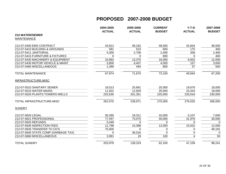|                                      | 2004-2005<br><b>ACTUAL</b> | 2005-2006<br><b>ACTUAL</b> | <b>CURRENT</b><br><b>BUDGET</b> | $Y-T-D$<br><b>ACTUAL</b> | 2007-2008<br><b>BUDGET</b> |
|--------------------------------------|----------------------------|----------------------------|---------------------------------|--------------------------|----------------------------|
| 212-WATER/SEWER                      |                            |                            |                                 |                          |                            |
| <b>MAINTENANCE</b>                   |                            |                            |                                 |                          |                            |
| 212-07-5400 EMS CONTRACT             | 43,912                     | 48,162                     | 48,500                          | 42,834                   | 48,500                     |
| 212-07-5410 BUILDING & GROUNDS       | 581                        | 523                        | 600                             | 175                      | 400                        |
| 212-07-5411 JANITORIAL               | 5,300                      | 2,708                      | 2,400                           | 358                      | 2,400                      |
| 212-07-5415 FURNITURE & FIXTURES     | $\Omega$                   | $\Omega$                   | 800                             | $\Omega$                 | 400                        |
| 212-07-5420 MACHINERY & EQUIPMENT    | 10,992                     | 13,375                     | 16,000                          | 6,002                    | 12,000                     |
| 212-07-5430 MOTOR VEHICLE & MAINT    | 5,800                      | 6,407                      | 4,000                           | 157                      | 3,000                      |
| 212-07-5460 MISCELLANEOUS            | 1,390                      | 494                        | 800                             | 37                       | 500                        |
| <b>TOTAL MAINTENANCE</b>             | 67,974                     | 71,670                     | 73,100                          | 49,564                   | 67,200                     |
| INFRASTRUCTURE-MISC                  |                            |                            |                                 |                          |                            |
| 212-07-5510 SANITARY SEWER           | 18,013                     | 25,691                     | 25,000                          | 19,676                   | 18,000                     |
| 212-07-5515 WATER MAINS              | 11,922                     | 12,929                     | 25,000                          | 23,343                   | 18,000                     |
| 212-07-5520 PLANTS-TOWERS-WELLS      | 232,635                    | 201,351                    | 225,000                         | 233,016                  | 230,000                    |
| TOTAL INFRASTRUCTURE-MISC            | 262,570                    | 239,971                    | 275,000                         | 276,035                  | 266,000                    |
| <b>SUNDRY</b>                        |                            |                            |                                 |                          |                            |
| 212-07-5620 LEGAL                    | 30,285                     | 19,311                     | 10,000                          | 5,107                    | 7,000                      |
| 212-07-5621 PROFESSIONAL             | 77,457                     | 73,075                     | 40,000                          | 31,976                   | 30,000                     |
| 212-07-5625 REFUNDS                  | 5,449                      | $\Omega$                   | $\Omega$                        | 0                        | $\Omega$                   |
| 212-07-5630 INSPECTION FEES          | 11,798                     | 10,398                     | 12,000                          | 10,022                   | 12,000                     |
| 212-07-5635 TRANSFER TO CD'S         | 75,000                     | $\Omega$                   | 0                               | 0                        | 49,191                     |
| 212-07-5640 STATE COMP (GARBAGE TAX) | $\Omega$                   | 36,516                     | $\mathbf 0$                     | 0                        | $\Omega$                   |
| 212-07-5660 MISCELLANEOUS            | 3,991                      | 19                         | 100                             | 4                        | 50                         |
| <b>TOTAL SUNDRY</b>                  | 203,979                    | 139,319                    | 62,100                          | 47,109                   | 98,241                     |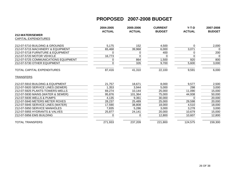|                                      | 2004-2005<br><b>ACTUAL</b> | 2005-2006<br><b>ACTUAL</b> | <b>CURRENT</b> | $Y-T-D$<br><b>ACTUAL</b> | 2007-2008<br><b>BUDGET</b> |
|--------------------------------------|----------------------------|----------------------------|----------------|--------------------------|----------------------------|
| 212-WATER/SEWER                      |                            |                            | <b>BUDGET</b>  |                          |                            |
| <b>CAPITAL EXPENDITURES</b>          |                            |                            |                |                          |                            |
|                                      |                            |                            |                |                          |                            |
| 212-07-5710 BUILDING & GROUNDS       | 5,175                      | 152                        | 4,500          | 0                        | 2,000                      |
| 212-07-5715 MACHINERY & EQUIPMENT    | 65,468                     | 39,968                     | 6,000          | 3,071                    | $\mathbf 0$                |
| 212-07-5718 FURNITURE & EQUIPMENT    | 0                          | 0                          | 400            | 0                        | 200                        |
| 212-07-5720 MOTOR VEHICLE            | 16,773                     | $\Omega$                   | 0              | $\Omega$                 | $\Omega$                   |
| 212-07-5725 COMMUNICATIONS EQUIPMENT | 0                          | 864                        | 1,500          | 920                      | 800                        |
| 212-07-5730 OTHER EQUIPMENT          | 0                          | 326                        | 9,700          | 5,600                    | 3,000                      |
| TOTAL CAPITAL EXPENDITURES           | 87,416                     | 41,310                     | 22,100         | 9,591                    | 6,000                      |
| <b>TRANSFERS</b>                     |                            |                            |                |                          |                            |
| 212-07-5910 BUILDING & EQUIPMENT     | 21,757                     | 18,671                     | 8,000          | 9,577                    | 2,500                      |
| 212-07-5920 SERVICE LINES (SEWER)    | 1,353                      | 3,944                      | 5,000          | 298                      | 3,000                      |
| 212-07-5925 PLANTS-TOWERS-WELLS      | 69,274                     | 10,144                     | 25,000         | 11,090                   | 15,000                     |
| 212-07-5930 MAINS (WATER & SEWER)    | 95,876                     | 101,364                    | 75,000         | 44,938                   | 50,000                     |
| 212-07-5935 WELLS & PUMPS            | 4,135                      | 9,361                      | 30,000         |                          | 20,000                     |
| 212-07-5940 METERS METER ROXES       | 28,237                     | 25,489                     | 25,000         | 29,598                   | 20,000                     |
| 212-07-5945 SERVICE LINES (WATER)    | 17,590                     | 38,808                     | 18,000         | 4,510                    | 18,000                     |
| 212-07-5950 SERVICE MANHOLES         | 7,835                      | 5,286                      | 3,000          | 3,278                    | 3,000                      |
| 212-07-5955 HYDRANTS & VALVES        | 25,877                     | 24,141                     | 20,000         | 10,679                   | 15,000                     |
| 212-07-5956 EMS BUILDING             | $\Omega$                   | n                          | 12,800         | 10,607                   | 12,800                     |
| TOTAL TRANSFERS                      | 271,933                    | 237,209                    | 221,800        | 124,575                  | 159,300                    |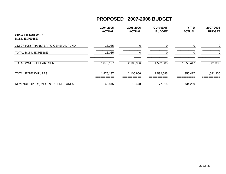|                                        | 2004-2005<br><b>ACTUAL</b> | 2005-2006<br><b>ACTUAL</b> | <b>CURRENT</b><br><b>BUDGET</b> | $Y-T-D$<br><b>ACTUAL</b> | 2007-2008<br><b>BUDGET</b> |
|----------------------------------------|----------------------------|----------------------------|---------------------------------|--------------------------|----------------------------|
| 212-WATER/SEWER<br><b>BOND EXPENSE</b> |                            |                            |                                 |                          |                            |
| 212-07-6055 TRANSFER TO GENERAL FUND   | 18,035                     |                            |                                 |                          | 0                          |
| <b>TOTAL BOND EXPENSE</b>              | 18,035                     | U                          |                                 |                          | 0                          |
| TOTAL WATER DEPARTMENT                 | 1,875,197                  | 2,106,906                  | 1,592,585                       | 1,350,417                | 1,581,300                  |
| <b>TOTAL EXPENDITURES</b>              | 1,875,197<br>__________    | 2,106,906<br>__________    | 1,592,585                       | 1,350,417<br>___________ | 1,581,300<br>-----------   |
| REVENUE OVER/(UNDER) EXPENDITURES      | 60,846<br>_________        | 12,478                     | 77,915                          | 734,269                  | 0                          |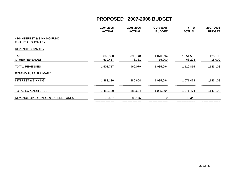|                                                                    | 2004-2005<br><b>ACTUAL</b> | 2005-2006<br><b>ACTUAL</b> | <b>CURRENT</b><br><b>BUDGET</b> | $Y-T-D$<br><b>ACTUAL</b> | 2007-2008<br><b>BUDGET</b> |
|--------------------------------------------------------------------|----------------------------|----------------------------|---------------------------------|--------------------------|----------------------------|
| <b>414-INTEREST &amp; SINKING FUND</b><br><b>FINANCIAL SUMMARY</b> |                            |                            |                                 |                          |                            |
| REVENUE SUMMARY                                                    |                            |                            |                                 |                          |                            |
| <b>TAXES</b>                                                       | 862,300                    | 892,748                    | 1,070,094                       | 1,051,591                | 1,128,108                  |
| <b>OTHER REVENUES</b>                                              | 639,417                    | 76,331                     | 15,000                          | 68,224                   | 15,000                     |
| <b>TOTAL REVENUES</b>                                              | 1,501,717                  | 969,079                    | 1,085,094                       | 1,119,815                | 1,143,108                  |
| <b>EXPENDITURE SUMMARY</b>                                         |                            |                            |                                 |                          |                            |
| <b>INTEREST &amp; SINKING</b>                                      | 1,483,130                  | 880,604                    | 1,085,094                       | 1,071,474                | 1,143,108                  |
| <b>TOTAL EXPENDITURES</b>                                          | 1,483,130                  | 880,604                    | 1,085,094                       | 1,071,474                | 1,143,108                  |
| REVENUE OVER/(UNDER) EXPENDITURES                                  | 18,587                     | 88,475                     | $\Omega$                        | 48,341                   | 0                          |
|                                                                    | ===========                | ===========                | ===========                     | ===========              |                            |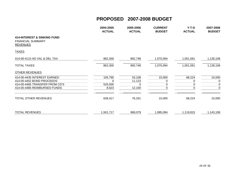|                                                                                       | 2004-2005<br><b>ACTUAL</b> | 2005-2006<br><b>ACTUAL</b> | <b>CURRENT</b><br><b>BUDGET</b> | $Y-T-D$<br><b>ACTUAL</b> | 2007-2008<br><b>BUDGET</b> |
|---------------------------------------------------------------------------------------|----------------------------|----------------------------|---------------------------------|--------------------------|----------------------------|
| <b>414-INTEREST &amp; SINKING FUND</b><br><b>FINANCIAL SUMMARY</b><br><b>REVENUES</b> |                            |                            |                                 |                          |                            |
| <b>TAXES</b>                                                                          |                            |                            |                                 |                          |                            |
| 414-00-4110 AD VAL & DEL TAX                                                          | 862,300                    | 892,748                    | 1,070,094                       | 1,051,591                | 1,128,108                  |
| <b>TOTAL TAXES</b>                                                                    | 862,300                    | 892,748                    | 1,070,094                       | 1,051,591                | 1,128,108                  |
| <b>OTHER REVENUES</b>                                                                 |                            |                            |                                 |                          |                            |
| 414-00-4435 INTEREST EARNED                                                           | 105,795                    | 53,108                     | 15,000                          | 68,224                   | 15,000                     |
| 414-00-4452 BOND PROCEEDS                                                             | 0                          | 11,123                     | 0                               | 0                        | $\mathbf 0$                |
| 414-00-4465 TRANSFER FROM CD'S                                                        | 525,000                    |                            |                                 |                          | $\mathbf 0$                |
| 414-00-4485 REIMBURSED FUNDS                                                          | 8,623                      | 12,100                     | 0                               | 0                        | $\mathbf 0$                |
| <b>TOTAL OTHER REVENUES</b>                                                           | 639,417                    | 76,331                     | 15,000                          | 68,224                   | 15,000                     |
| <b>TOTAL REVENUES</b>                                                                 | 1,501,717                  | 969,079                    | 1,085,094                       | 1,119,815                | 1,143,108                  |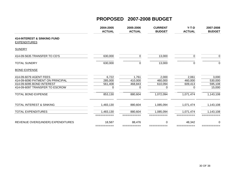|                                                               | 2004-2005<br><b>ACTUAL</b> | 2005-2006<br><b>ACTUAL</b> | <b>CURRENT</b><br><b>BUDGET</b> | $Y-T-D$<br><b>ACTUAL</b> | 2007-2008<br><b>BUDGET</b> |
|---------------------------------------------------------------|----------------------------|----------------------------|---------------------------------|--------------------------|----------------------------|
| <b>414-INTEREST &amp; SINKING FUND</b><br><b>EXPENDITURES</b> |                            |                            |                                 |                          |                            |
| <b>SUNDRY</b>                                                 |                            |                            |                                 |                          |                            |
| 414-09-5635 TRANSFER TO CD'S                                  | 630,000                    | 0                          | 13,000                          | 0                        | $\Omega$                   |
| <b>TOTAL SUNDRY</b>                                           | 630,000                    | $\boldsymbol{0}$           | 13,000                          | 0                        | $\mathbf 0$                |
| <b>BOND EXPENSE</b>                                           |                            |                            |                                 |                          |                            |
| 414-09-6079 AGENT FEES                                        | 6,722                      | 1,761                      | 2,000                           | 2,061                    | 3,000                      |
| 414-09-6090 PATMENT ON PRINCIPAL                              | 285,000                    | 410,000                    | 460,000                         | 460,000                  | 530,000                    |
| 414-09-6095 BOND INTEREST                                     | 561,408                    | 468,843                    | 610,094                         | 609,413                  | 595,108                    |
| 414-09-6097 TRANSFER TO ESCROW                                | 0                          | 0                          | 0                               | 0                        | 15,000                     |
| <b>TOTAL BOND EXPENSE</b>                                     | 853,130                    | 880,604                    | 1,072,094                       | 1,071,474                | 1,143,108                  |
| TOTAL INTEREST & SINKING                                      | 1,483,130                  | 880,604                    | 1,085,094                       | 1,071,474                | 1,143,108                  |
| <b>TOTAL EXPENDITURES</b>                                     | 1,483,130<br>__________    | 880,604                    | 1,085,094                       | 1,071,474                | 1,143,108                  |
| REVENUE OVER/(UNDER) EXPENDITURES                             | 18,587                     | 88,476                     | 0                               | 48,342                   | 0                          |
|                                                               | ===========                | ===========                | ========                        | ===========              |                            |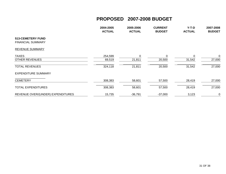|                                                      | 2004-2005<br><b>ACTUAL</b> | 2005-2006<br><b>ACTUAL</b> | <b>CURRENT</b><br><b>BUDGET</b> | $Y-T-D$<br><b>ACTUAL</b> | 2007-2008<br><b>BUDGET</b> |
|------------------------------------------------------|----------------------------|----------------------------|---------------------------------|--------------------------|----------------------------|
| <b>513-CEMETERY FUND</b><br><b>FINANCIAL SUMMARY</b> |                            |                            |                                 |                          |                            |
| <b>REVENUE SUMMARY</b>                               |                            |                            |                                 |                          |                            |
| <b>TAXES</b><br><b>OTHER REVENUES</b>                | 254,599<br>69,519          | 21,811                     | 0<br>20,500                     | $\Omega$<br>31,542       | $\overline{0}$<br>27,000   |
| <b>TOTAL REVENUES</b>                                | 324,118                    | 21,811                     | 20,500                          | 31,542                   | 27,000                     |
| <b>EXPENDITURE SUMMARY</b>                           |                            |                            |                                 |                          |                            |
| <b>CEMETERY</b>                                      | 308,383                    | 58,601                     | 57,500                          | 28,419                   | 27,000                     |
| <b>TOTAL EXPENDITURES</b>                            | 308,383                    | 58,601                     | 57,500                          | 28,419                   | 27,000                     |
| REVENUE OVER/(UNDER) EXPENDITURES                    | 15,735                     | $-36,791$                  | $-37,000$                       | 3,123                    | $\mathbf 0$                |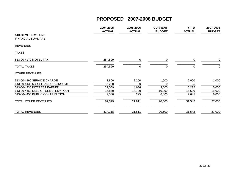|                                                                      | 2004-2005<br><b>ACTUAL</b> | 2005-2006<br><b>ACTUAL</b> | <b>CURRENT</b><br><b>BUDGET</b> | $Y-T-D$<br><b>ACTUAL</b> | 2007-2008<br><b>BUDGET</b> |
|----------------------------------------------------------------------|----------------------------|----------------------------|---------------------------------|--------------------------|----------------------------|
| <b>513-CEMETERY FUND</b><br><b>FINANCIAL SUMMARY</b>                 |                            |                            |                                 |                          |                            |
| <b>REVENUES</b>                                                      |                            |                            |                                 |                          |                            |
| <b>TAXES</b>                                                         |                            |                            |                                 |                          |                            |
| 513-00-4170 MOTEL TAX                                                | 254,599                    | 0                          | 0                               | 0                        | 0                          |
| <b>TOTAL TAXES</b>                                                   | 254,599                    | 0                          | 0                               | 0                        | 0                          |
| <b>OTHER REVENUES</b>                                                |                            |                            |                                 |                          |                            |
| 513-00-4360 SERVICE CHARGE                                           | 1,800                      | 2,250                      | 1,500                           | 2,000                    | 1,000                      |
| 513-00-4430 MISCELLANEOUS INCOME                                     | 16,250                     |                            | 0                               | 25                       | $\overline{0}$             |
| 513-00-4435 INTEREST EARNED                                          | 27,059                     | 4,636                      | 3,000                           | 5,272                    | 5,000                      |
| 513-00-4450 SALE OF CEMETERY PLOT<br>513-00-4455 PUBLIC CONTRIBUTION | 16,850                     | 14,700                     | 10,000                          | 16,600                   | 15,000                     |
|                                                                      | 7,560                      | 225                        | 6,000                           | 7,645                    | 6,000                      |
| <b>TOTAL OTHER REVENUES</b>                                          | 69,519                     | 21,811                     | 20,500                          | 31,542                   | 27,000                     |
| <b>TOTAL REVENUES</b>                                                | 324,118                    | 21,811                     | 20,500                          | 31,542                   | 27,000                     |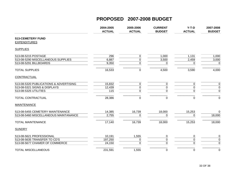|                                                 | 2004-2005<br><b>ACTUAL</b> | 2005-2006<br><b>ACTUAL</b> | <b>CURRENT</b><br><b>BUDGET</b> | $Y-T-D$<br><b>ACTUAL</b> | 2007-2008<br><b>BUDGET</b> |
|-------------------------------------------------|----------------------------|----------------------------|---------------------------------|--------------------------|----------------------------|
| <b>513-CEMETERY FUND</b><br><b>EXPENDITURES</b> |                            |                            |                                 |                          |                            |
| <b>SUPPLIES</b>                                 |                            |                            |                                 |                          |                            |
| 513-08-5215 POSTAGE                             | 296                        | 0                          | 1,000                           | 1,131                    | 1,000                      |
| 513-08-5290 MISCELLANEOUS SUPPLIES              | 6,887                      | 0                          | 3,500                           | 2,459                    | 3,000                      |
| 513-08-5291 BILLBOARDS                          | 9,350                      | 0                          | 0                               | 0                        | $\mathbf 0$                |
| <b>TOTAL SUPPLIES</b>                           | 16,533                     | $\mathbf 0$                | 4,500                           | 3,590                    | 4,000                      |
| CONTRACTUAL                                     |                            |                            |                                 |                          |                            |
| 513-08-5320 PUBLICATIONS & ADVERTISING          | 15,832                     | 0                          | 0                               | 0                        | $\mathbf 0$                |
| 513-08-5321 SIGNS & DISPLAYS                    | 12,439                     | 0                          | $\mathbf 0$                     | 0                        | $\pmb{0}$                  |
| 513-08-5325 UTILITIES                           | 115                        | 0                          | 0                               | 0                        | $\pmb{0}$                  |
| <b>TOTAL CONTRACTUAL</b>                        | 28,386                     | $\mathbf 0$                | $\mathbf 0$                     | 0                        | $\mathbf 0$                |
| <b>MAINTENANCE</b>                              |                            |                            |                                 |                          |                            |
| 513-08-5455 CEMETERY MAINTENANCE                | 14,385                     | 16,739                     | 18,000                          | 15,253                   | 0                          |
| 513-08-5460 MISCELLANEOUS MAINTANANCE           | 2,755                      | $\Omega$                   | 0                               | 0                        | 18,000                     |
| <b>TOTAL MAINTENANCE</b>                        | 17,140                     | 16,739                     | 18,000                          | 15,253                   | 18,000                     |
| <b>SUNDRY</b>                                   |                            |                            |                                 |                          |                            |
| 513-08-5621 PROFESSIONAL                        | 10,191                     | 1,555                      | 0                               | 0                        | $\pmb{0}$                  |
| 513-08-5635 TRANSFER TO CD'S                    | 197,250                    | 0                          | $\pmb{0}$                       | 0                        | $\pmb{0}$                  |
| 513-08-5677 CHAMER OF COMMERCE                  | 24,150                     | $\Omega$                   | $\mathbf 0$                     | 0                        | $\mathbf 0$                |
| <b>TOTAL MISCELLANEOUS</b>                      | 231,591                    | 1,555                      | $\pmb{0}$                       | 0                        | $\pmb{0}$                  |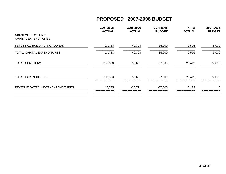|                                                  | 2004-2005<br><b>ACTUAL</b> | 2005-2006<br><b>ACTUAL</b> | <b>CURRENT</b><br><b>BUDGET</b> | $Y-T-D$<br><b>ACTUAL</b> | 2007-2008<br><b>BUDGET</b> |
|--------------------------------------------------|----------------------------|----------------------------|---------------------------------|--------------------------|----------------------------|
| 513-CEMETERY FUND<br><b>CAPITAL EXPENDITURES</b> |                            |                            |                                 |                          |                            |
| 513-08-5710 BUILDING & GROUNDS                   | 14,733                     | 40,308                     | 35,000                          | 9,576                    | 5,000                      |
| TOTAL CAPITAL EXPENDITURES                       | 14,733                     | 40,308                     | 35,000                          | 9,576                    | 5,000                      |
| <b>TOTAL CEMETERY</b>                            | 308,383                    | 58,601                     | 57,500                          | 28,419                   | 27,000                     |
| <b>TOTAL EXPENDITURES</b>                        | 308,383<br>=========       | 58,601<br>===========      | 57,500                          | 28,419<br>===========    | 27,000                     |
| REVENUE OVER/(UNDER) EXPENDITURES                | 15,735                     | $-36,791$                  | $-37,000$                       | 3,123                    | 0                          |
|                                                  |                            |                            |                                 |                          |                            |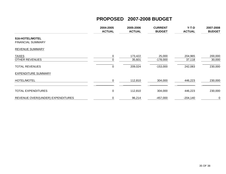|                                             | 2004-2005<br><b>ACTUAL</b> | 2005-2006<br><b>ACTUAL</b> | <b>CURRENT</b><br><b>BUDGET</b> | $Y-T-D$<br><b>ACTUAL</b> | 2007-2008<br><b>BUDGET</b> |
|---------------------------------------------|----------------------------|----------------------------|---------------------------------|--------------------------|----------------------------|
| 516-HOTEL/MOTEL<br><b>FINANCIAL SUMMARY</b> |                            |                            |                                 |                          |                            |
| <b>REVENUE SUMMARY</b>                      |                            |                            |                                 |                          |                            |
| <b>TAXES</b><br><b>OTHER REVENUES</b>       | 0<br>$\Omega$              | 173,422<br>35,601          | 25,000<br>-178,000              | 204,965<br>37,118        | 200,000<br>30,000          |
| <b>TOTAL REVENUES</b>                       | $\Omega$                   | 209,024                    | $-153,000$                      | 242,083                  | 230,000                    |
| <b>EXPENDITURE SUMMARY</b>                  |                            |                            |                                 |                          |                            |
| HOTEL/MOTEL                                 | 0                          | 112,810                    | 304,000                         | 446,223                  | 230,000                    |
| <b>TOTAL EXPENDITURES</b>                   | 0                          | 112,810                    | 304,000                         | 446,223                  | 230,000                    |
| REVENUE OVER/(UNDER) EXPENDITURES           | 0                          | 96,214                     | -457,000                        | $-204,140$               | $\mathbf 0$                |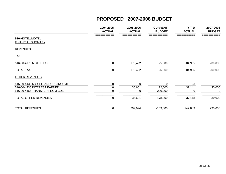|                                                                                                   | 2004-2005<br><b>ACTUAL</b> | 2005-2006<br><b>ACTUAL</b> | <b>CURRENT</b><br><b>BUDGET</b>  | $Y-T-D$<br><b>ACTUAL</b> | 2007-2008<br><b>BUDGET</b>           |
|---------------------------------------------------------------------------------------------------|----------------------------|----------------------------|----------------------------------|--------------------------|--------------------------------------|
| 516-HOTEL/MOTEL<br><b>FINANCIAL SUMMARY</b>                                                       | ===========                |                            | ===========                      |                          |                                      |
| <b>REVENUES</b>                                                                                   |                            |                            |                                  |                          |                                      |
| <b>TAXES</b>                                                                                      |                            |                            |                                  |                          |                                      |
| 516-00-4170 MOTEL TAX                                                                             | 0                          | 173,422                    | 25,000                           | 204,965                  | 200,000                              |
| <b>TOTAL TAXES</b>                                                                                | 0                          | 173,422                    | 25,000                           | 204,965                  | 200,000                              |
| <b>OTHER REVENUES</b>                                                                             |                            |                            |                                  |                          |                                      |
| 516-00-4430 MISCELLANEOUS INCOME<br>516-00-4435 INTEREST EARNED<br>516-00-4465 TRANSFER FROM CD'S | 0<br>0<br>$\Omega$         | 0<br>35,601<br>0           | $\Omega$<br>22,000<br>$-200,000$ | $-23$<br>37,141<br>0     | $\Omega$<br>30,000<br>$\overline{0}$ |
| TOTAL OTHER REVENUES                                                                              | $\mathbf 0$                | 35,601                     | $-178,000$                       | 37,118                   | 30,000                               |
| <b>TOTAL REVENUES</b>                                                                             | 0                          | 209,024                    | $-153,000$                       | 242,083                  | 230,000                              |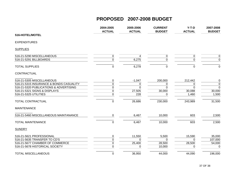|                                         | 2004-2005<br><b>ACTUAL</b> | 2005-2006<br><b>ACTUAL</b> | <b>CURRENT</b><br><b>BUDGET</b> | $Y-T-D$<br><b>ACTUAL</b> | 2007-2008<br><b>BUDGET</b> |
|-----------------------------------------|----------------------------|----------------------------|---------------------------------|--------------------------|----------------------------|
| 516-HOTEL/MOTEL                         |                            |                            |                                 |                          |                            |
| <b>EXPENDITURES</b>                     |                            |                            |                                 |                          |                            |
| <b>SUPPLIES</b>                         |                            |                            |                                 |                          |                            |
| 516-21-5290 MISCELLANEOUS               | $\mathbf 0$                |                            | $\mathbf 0$                     | 0                        | $\mathbf 0$                |
| 516-21-5291 BILLBOARDS                  | $\mathbf 0$                | 6,275                      | $\mathbf 0$                     | $\mathbf 0$              | $\mathbf 0$                |
| <b>TOTAL SUPPLIES</b>                   | $\mathbf 0$                | 6,278                      | $\mathbf 0$                     | $\mathbf 0$              | $\mathbf 0$                |
| CONTRACTUAL                             |                            |                            |                                 |                          |                            |
| 516-21-5305 MISCELLANEOUS               | 0                          | $-1,047$                   | 200,000                         | 212,442                  | $\pmb{0}$                  |
| 516-21-5315 INSURANCE & BONDS CASUALITY | $\mathbf 0$                | 0                          | 0                               | 0                        | $\mathbf 0$                |
| 516-21-5320 PUBLICATIONS & ADVERTISING  | $\pmb{0}$                  | $\overline{0}$             | $\overline{0}$                  | $\Omega$                 | $\overline{0}$             |
| 516-21-5321 SIGNS & DISPLAYS            | $\pmb{0}$                  | 27,505                     | 30,000                          | 30,088                   | 30,000                     |
| 516-21-5325 UTILITIES                   | $\mathbf 0$                | 228                        | 0                               | 1,460                    | 1,500                      |
| TOTAL CONTRACTUAL                       | $\pmb{0}$                  | 26,686                     | 230,000                         | 243,989                  | 31,500                     |
| <b>MAINTENANCE</b>                      |                            |                            |                                 |                          |                            |
| 516-21-5460 MISCELLANEOUS MAINTANANCE   | $\Omega$                   | 6,467                      | 10,000                          | 603                      | 2,500                      |
| <b>TOTAL MAINTENANCE</b>                | $\overline{0}$             | 6,467                      | 10,000                          | 603                      | 2,500                      |
| <b>SUNDRY</b>                           |                            |                            |                                 |                          |                            |
| 516-21-5621 PROFESSIONAL                | 0                          | 11,550                     | 5,500                           | 15,590                   | 35,000                     |
| 516-21-5635 TRANSFER TO CD'S            | $\pmb{0}$                  | $\mathbf{0}$               | $\mathbf 0$                     | $\Omega$                 | 107,000                    |
| 516-21-5677 CHAMBER OF COMMERCE         | $\mathbf 0$                | 25,400                     | 28,500                          | 28,500                   | 54,000                     |
| 516-21-5678 HISTORICAL SOCIETY          | $\pmb{0}$                  | 0                          | 10,000                          | 0                        | $\mathbf 0$                |
| <b>TOTAL MISCELLANEOUS</b>              | $\mathbf 0$                | 36,950                     | 44,000                          | 44,090                   | 196,000                    |